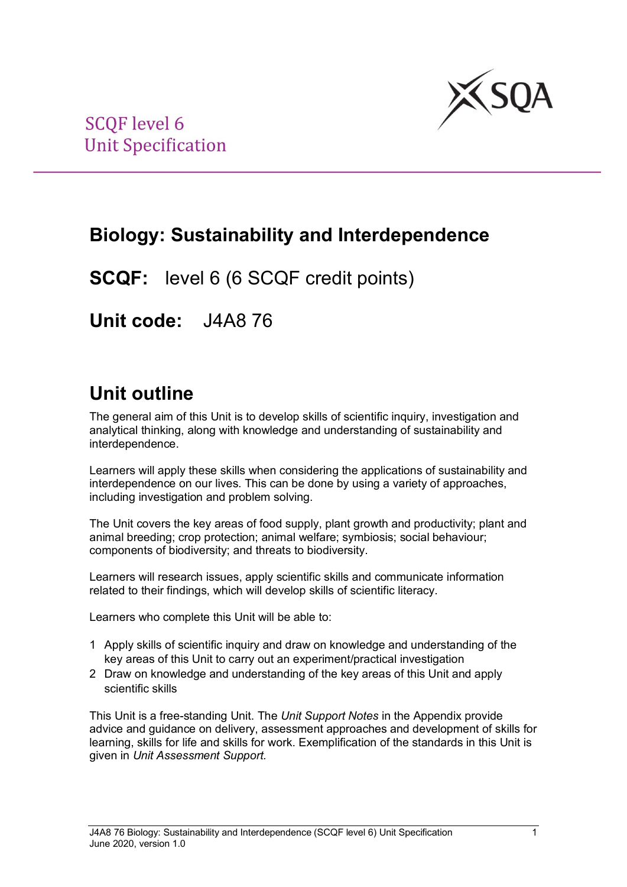

## **Biology: Sustainability and Interdependence**

**SCQF:** level 6 (6 SCQF credit points)

**Unit code:** J4A8 76

## **Unit outline**

The general aim of this Unit is to develop skills of scientific inquiry, investigation and analytical thinking, along with knowledge and understanding of sustainability and interdependence.

Learners will apply these skills when considering the applications of sustainability and interdependence on our lives. This can be done by using a variety of approaches, including investigation and problem solving.

The Unit covers the key areas of food supply, plant growth and productivity; plant and animal breeding; crop protection; animal welfare; symbiosis; social behaviour; components of biodiversity; and threats to biodiversity.

Learners will research issues, apply scientific skills and communicate information related to their findings, which will develop skills of scientific literacy.

Learners who complete this Unit will be able to:

- 1 Apply skills of scientific inquiry and draw on knowledge and understanding of the key areas of this Unit to carry out an experiment/practical investigation
- 2 Draw on knowledge and understanding of the key areas of this Unit and apply scientific skills

This Unit is a free-standing Unit. The *Unit Support Notes* in the Appendix provide advice and guidance on delivery, assessment approaches and development of skills for learning, skills for life and skills for work. Exemplification of the standards in this Unit is given in *Unit Assessment Support.*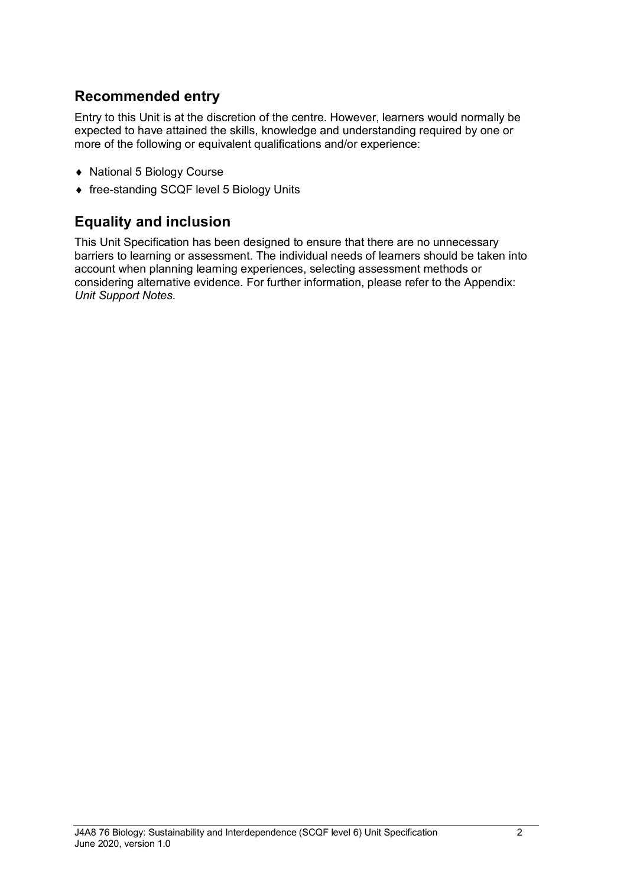### **Recommended entry**

Entry to this Unit is at the discretion of the centre. However, learners would normally be expected to have attained the skills, knowledge and understanding required by one or more of the following or equivalent qualifications and/or experience:

- ♦ National 5 Biology Course
- ♦ free-standing SCQF level 5 Biology Units

### **Equality and inclusion**

This Unit Specification has been designed to ensure that there are no unnecessary barriers to learning or assessment. The individual needs of learners should be taken into account when planning learning experiences, selecting assessment methods or considering alternative evidence. For further information, please refer to the Appendix: *Unit Support Notes.*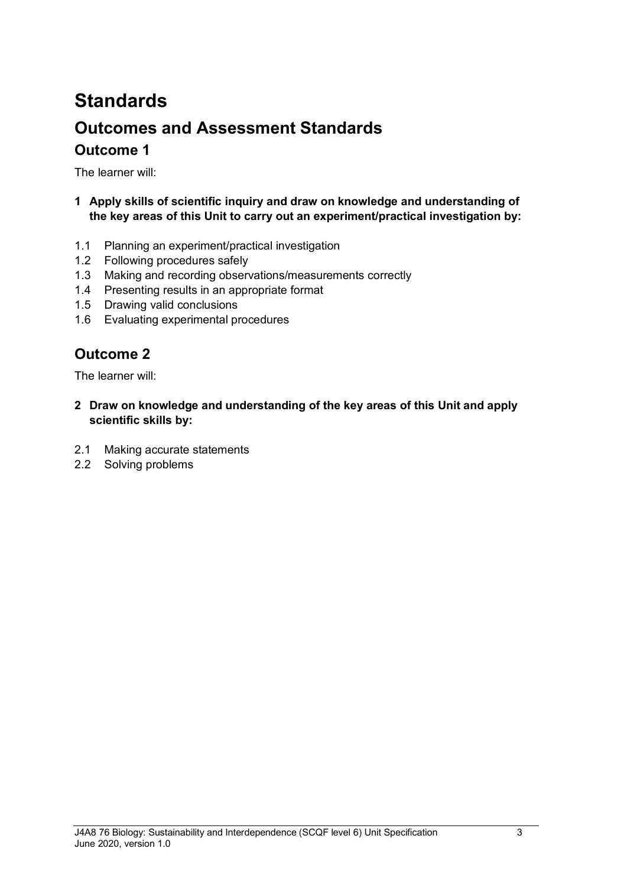# **Standards Outcomes and Assessment Standards Outcome 1**

The learner will:

- **1 Apply skills of scientific inquiry and draw on knowledge and understanding of the key areas of this Unit to carry out an experiment/practical investigation by:**
- 1.1 Planning an experiment/practical investigation
- 1.2 Following procedures safely
- 1.3 Making and recording observations/measurements correctly
- 1.4 Presenting results in an appropriate format
- 1.5 Drawing valid conclusions
- 1.6 Evaluating experimental procedures

### **Outcome 2**

The learner will:

- **2 Draw on knowledge and understanding of the key areas of this Unit and apply scientific skills by:**
- 2.1 Making accurate statements
- 2.2 Solving problems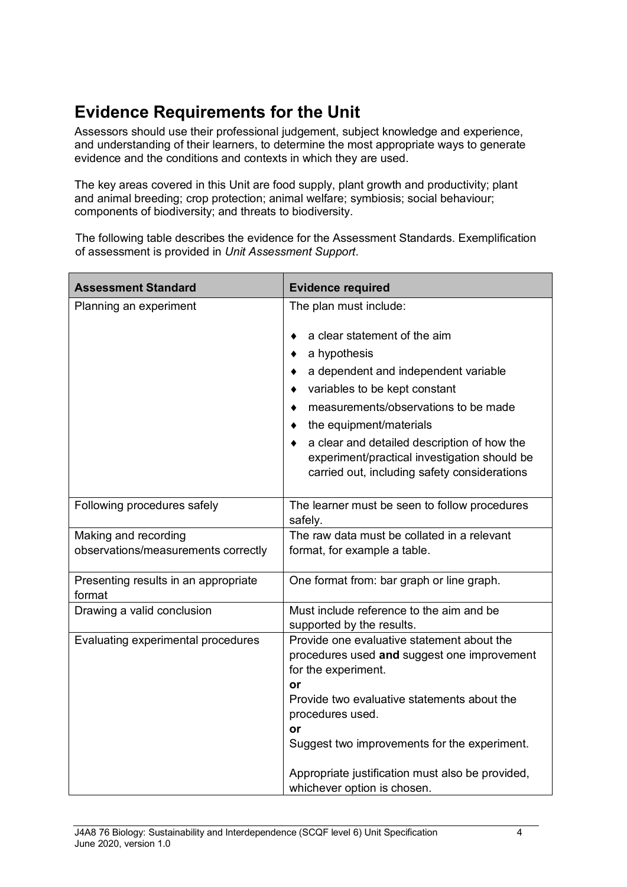## **Evidence Requirements for the Unit**

Assessors should use their professional judgement, subject knowledge and experience, and understanding of their learners, to determine the most appropriate ways to generate evidence and the conditions and contexts in which they are used.

The key areas covered in this Unit are food supply, plant growth and productivity; plant and animal breeding; crop protection; animal welfare; symbiosis; social behaviour; components of biodiversity; and threats to biodiversity.

The following table describes the evidence for the Assessment Standards. Exemplification of assessment is provided in *Unit Assessment Support*.

| <b>Assessment Standard</b>                     | <b>Evidence required</b>                                                                                                                                                                                                                                                                                                                |
|------------------------------------------------|-----------------------------------------------------------------------------------------------------------------------------------------------------------------------------------------------------------------------------------------------------------------------------------------------------------------------------------------|
| Planning an experiment                         | The plan must include:                                                                                                                                                                                                                                                                                                                  |
|                                                | a clear statement of the aim<br>a hypothesis<br>a dependent and independent variable<br>variables to be kept constant<br>measurements/observations to be made<br>the equipment/materials<br>a clear and detailed description of how the<br>experiment/practical investigation should be<br>carried out, including safety considerations |
| Following procedures safely                    | The learner must be seen to follow procedures<br>safely.                                                                                                                                                                                                                                                                                |
| Making and recording                           | The raw data must be collated in a relevant                                                                                                                                                                                                                                                                                             |
| observations/measurements correctly            | format, for example a table.                                                                                                                                                                                                                                                                                                            |
| Presenting results in an appropriate<br>format | One format from: bar graph or line graph.                                                                                                                                                                                                                                                                                               |
| Drawing a valid conclusion                     | Must include reference to the aim and be<br>supported by the results.                                                                                                                                                                                                                                                                   |
| Evaluating experimental procedures             | Provide one evaluative statement about the<br>procedures used and suggest one improvement<br>for the experiment.<br>or<br>Provide two evaluative statements about the<br>procedures used.<br>or<br>Suggest two improvements for the experiment.                                                                                         |
|                                                | Appropriate justification must also be provided,<br>whichever option is chosen.                                                                                                                                                                                                                                                         |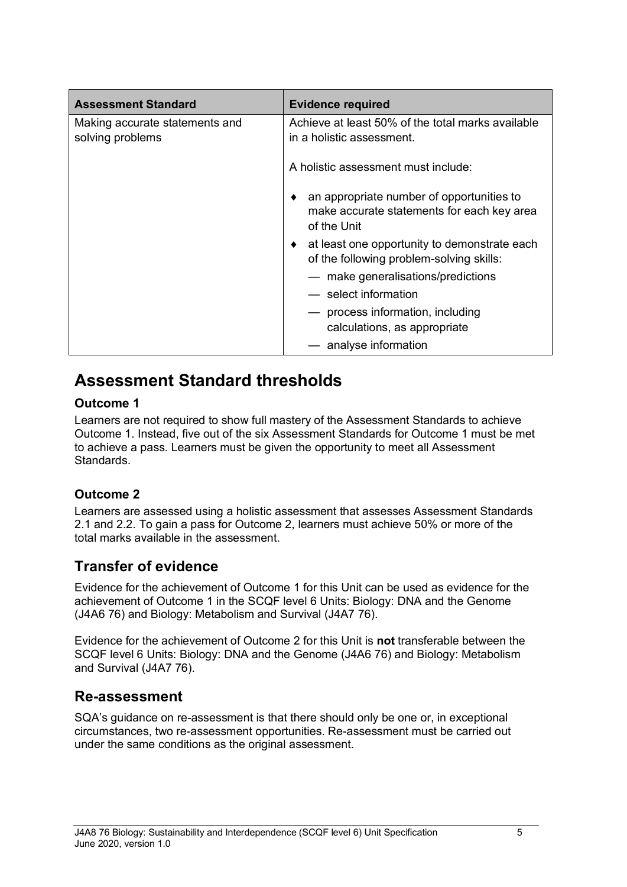| <b>Assessment Standard</b>                         | <b>Evidence required</b>                                                                                    |  |
|----------------------------------------------------|-------------------------------------------------------------------------------------------------------------|--|
| Making accurate statements and<br>solving problems | Achieve at least 50% of the total marks available<br>in a holistic assessment.                              |  |
|                                                    | A holistic assessment must include:                                                                         |  |
|                                                    | an appropriate number of opportunities to<br>٠<br>make accurate statements for each key area<br>of the Unit |  |
|                                                    | at least one opportunity to demonstrate each<br>of the following problem-solving skills:                    |  |
|                                                    | - make generalisations/predictions                                                                          |  |
|                                                    | — select information                                                                                        |  |
|                                                    | process information, including<br>calculations, as appropriate                                              |  |
|                                                    | - analyse information                                                                                       |  |

## **Assessment Standard thresholds**

#### **Outcome 1**

Learners are not required to show full mastery of the Assessment Standards to achieve Outcome 1. Instead, five out of the six Assessment Standards for Outcome 1 must be met to achieve a pass. Learners must be given the opportunity to meet all Assessment Standards.

### **Outcome 2**

Learners are assessed using a holistic assessment that assesses Assessment Standards 2.1 and 2.2. To gain a pass for Outcome 2, learners must achieve 50% or more of the total marks available in the assessment.

### **Transfer of evidence**

Evidence for the achievement of Outcome 1 for this Unit can be used as evidence for the achievement of Outcome 1 in the SCQF level 6 Units: Biology: DNA and the Genome (J4A6 76) and Biology: Metabolism and Survival (J4A7 76).

Evidence for the achievement of Outcome 2 for this Unit is **not** transferable between the SCQF level 6 Units: Biology: DNA and the Genome (J4A6 76) and Biology: Metabolism and Survival (J4A7 76).

### **Re-assessment**

SQA's guidance on re-assessment is that there should only be one or, in exceptional circumstances, two re-assessment opportunities. Re-assessment must be carried out under the same conditions as the original assessment.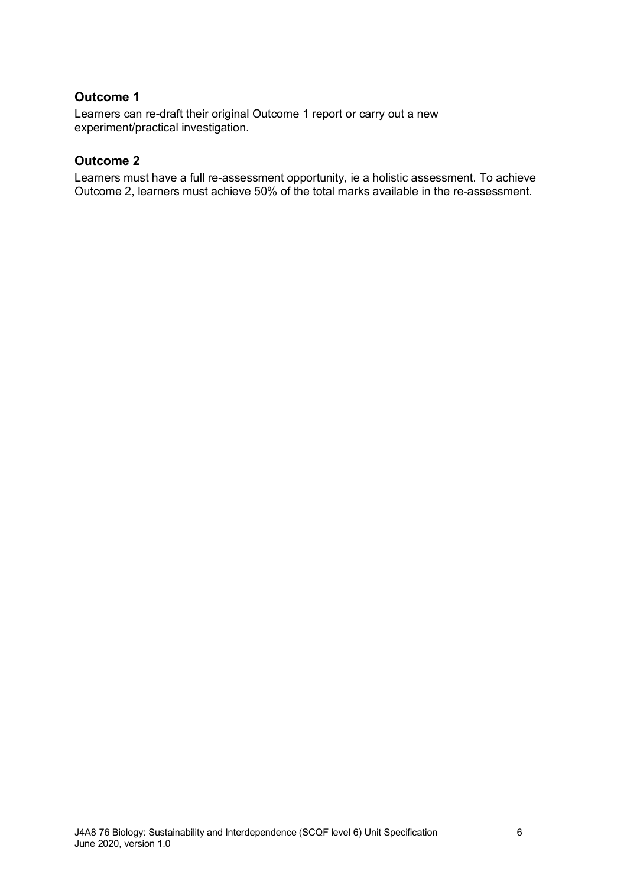#### **Outcome 1**

Learners can re-draft their original Outcome 1 report or carry out a new experiment/practical investigation.

#### **Outcome 2**

Learners must have a full re-assessment opportunity, ie a holistic assessment. To achieve Outcome 2, learners must achieve 50% of the total marks available in the re-assessment.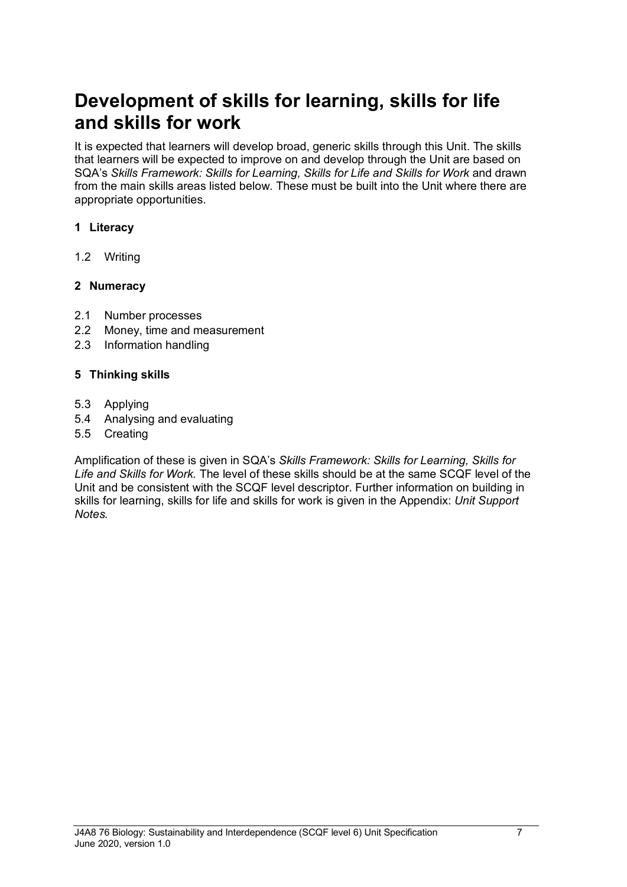## **Development of skills for learning, skills for life and skills for work**

It is expected that learners will develop broad, generic skills through this Unit. The skills that learners will be expected to improve on and develop through the Unit are based on SQA's *Skills Framework: Skills for Learning, Skills for Life and Skills for Work and drawn* from the main skills areas listed below. These must be built into the Unit where there are appropriate opportunities.

#### **1 Literacy**

1.2 Writing

#### **2 Numeracy**

- 2.1 Number processes
- 2.2 Money, time and measurement
- 2.3 Information handling

#### **5 Thinking skills**

- 5.3 Applying
- 5.4 Analysing and evaluating
- 5.5 Creating

Amplification of these is given in SQA's *Skills Framework: Skills for Learning, Skills for Life and Skills for Work.* The level of these skills should be at the same SCQF level of the Unit and be consistent with the SCQF level descriptor. Further information on building in skills for learning, skills for life and skills for work is given in the Appendix: *Unit Support Notes.*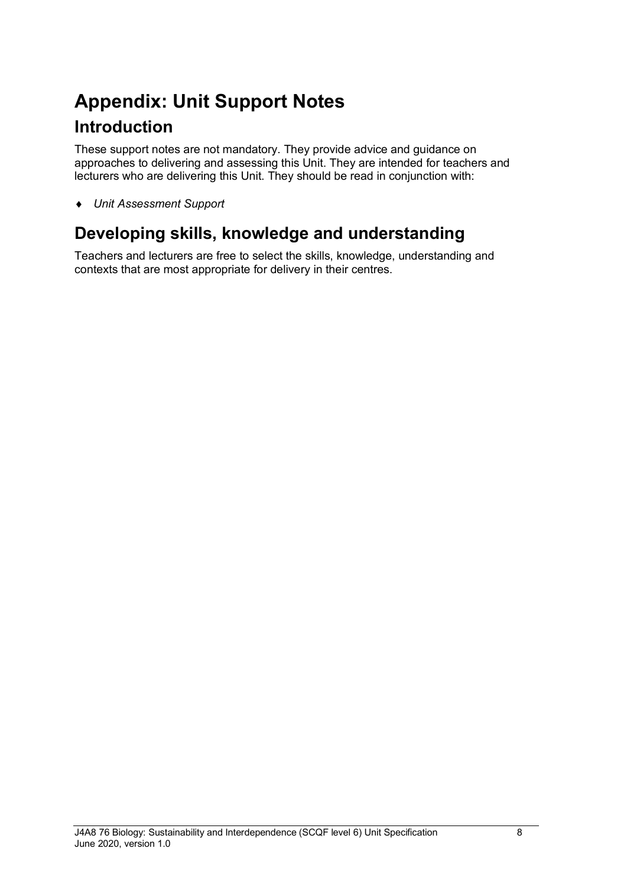# **Appendix: Unit Support Notes Introduction**

These support notes are not mandatory. They provide advice and guidance on approaches to delivering and assessing this Unit. They are intended for teachers and lecturers who are delivering this Unit. They should be read in conjunction with:

♦ *Unit Assessment Support* 

## **Developing skills, knowledge and understanding**

Teachers and lecturers are free to select the skills, knowledge, understanding and contexts that are most appropriate for delivery in their centres.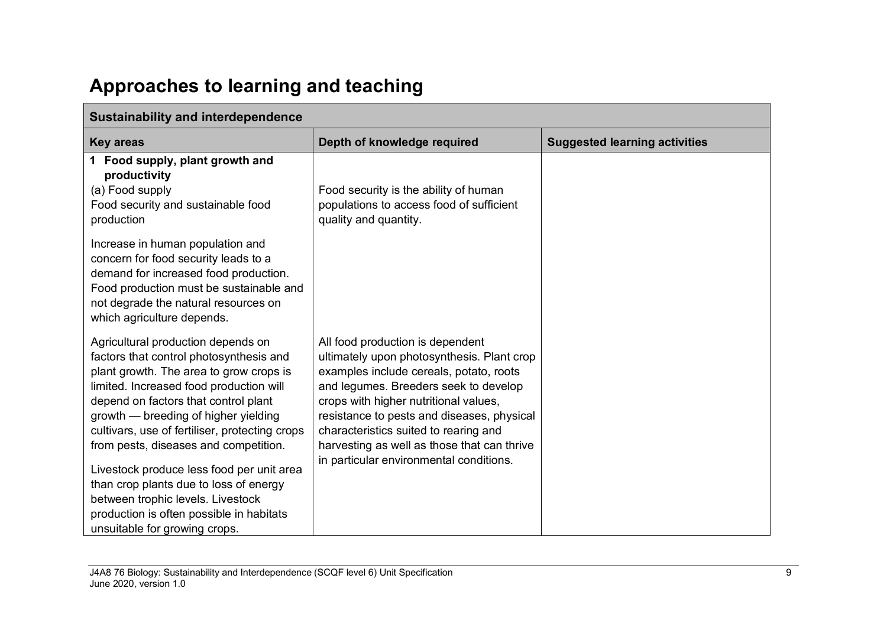# **Approaches to learning and teaching**

| <b>Sustainability and interdependence</b>                                                                                                                                                                                                                                                                                                                                                                                                                                                                                                               |                                                                                                                                                                                                                                                                                                                                                                                              |                                      |
|---------------------------------------------------------------------------------------------------------------------------------------------------------------------------------------------------------------------------------------------------------------------------------------------------------------------------------------------------------------------------------------------------------------------------------------------------------------------------------------------------------------------------------------------------------|----------------------------------------------------------------------------------------------------------------------------------------------------------------------------------------------------------------------------------------------------------------------------------------------------------------------------------------------------------------------------------------------|--------------------------------------|
| <b>Key areas</b>                                                                                                                                                                                                                                                                                                                                                                                                                                                                                                                                        | Depth of knowledge required                                                                                                                                                                                                                                                                                                                                                                  | <b>Suggested learning activities</b> |
| 1 Food supply, plant growth and<br>productivity<br>(a) Food supply<br>Food security and sustainable food<br>production                                                                                                                                                                                                                                                                                                                                                                                                                                  | Food security is the ability of human<br>populations to access food of sufficient<br>quality and quantity.                                                                                                                                                                                                                                                                                   |                                      |
| Increase in human population and<br>concern for food security leads to a<br>demand for increased food production.<br>Food production must be sustainable and<br>not degrade the natural resources on<br>which agriculture depends.                                                                                                                                                                                                                                                                                                                      |                                                                                                                                                                                                                                                                                                                                                                                              |                                      |
| Agricultural production depends on<br>factors that control photosynthesis and<br>plant growth. The area to grow crops is<br>limited. Increased food production will<br>depend on factors that control plant<br>growth — breeding of higher yielding<br>cultivars, use of fertiliser, protecting crops<br>from pests, diseases and competition.<br>Livestock produce less food per unit area<br>than crop plants due to loss of energy<br>between trophic levels. Livestock<br>production is often possible in habitats<br>unsuitable for growing crops. | All food production is dependent<br>ultimately upon photosynthesis. Plant crop<br>examples include cereals, potato, roots<br>and legumes. Breeders seek to develop<br>crops with higher nutritional values,<br>resistance to pests and diseases, physical<br>characteristics suited to rearing and<br>harvesting as well as those that can thrive<br>in particular environmental conditions. |                                      |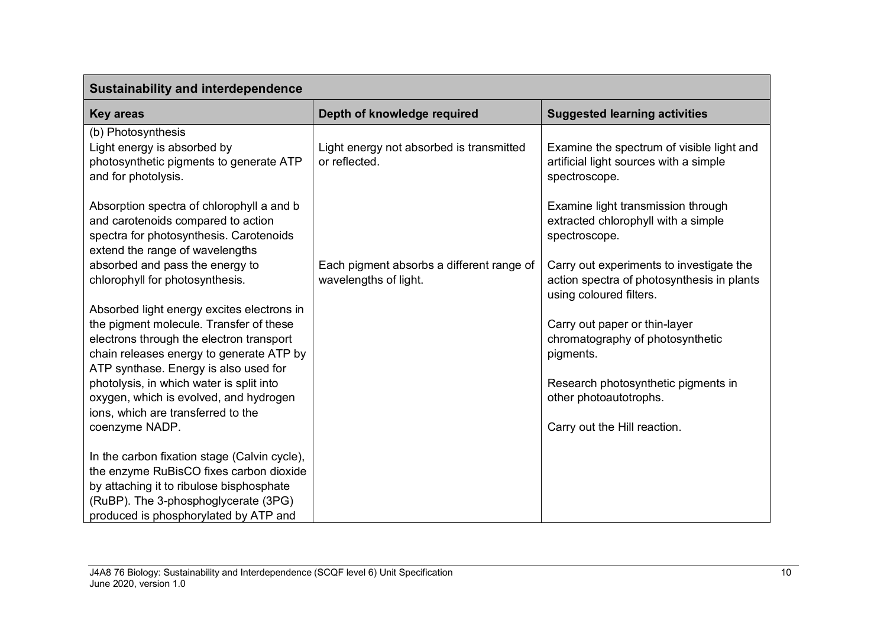| <b>Sustainability and interdependence</b>                                                                                                                                                                              |                                                                    |                                                                                                                   |  |
|------------------------------------------------------------------------------------------------------------------------------------------------------------------------------------------------------------------------|--------------------------------------------------------------------|-------------------------------------------------------------------------------------------------------------------|--|
| <b>Key areas</b>                                                                                                                                                                                                       | Depth of knowledge required                                        | <b>Suggested learning activities</b>                                                                              |  |
| (b) Photosynthesis<br>Light energy is absorbed by<br>photosynthetic pigments to generate ATP<br>and for photolysis.                                                                                                    | Light energy not absorbed is transmitted<br>or reflected.          | Examine the spectrum of visible light and<br>artificial light sources with a simple<br>spectroscope.              |  |
| Absorption spectra of chlorophyll a and b<br>and carotenoids compared to action<br>spectra for photosynthesis. Carotenoids<br>extend the range of wavelengths                                                          |                                                                    | Examine light transmission through<br>extracted chlorophyll with a simple<br>spectroscope.                        |  |
| absorbed and pass the energy to<br>chlorophyll for photosynthesis.                                                                                                                                                     | Each pigment absorbs a different range of<br>wavelengths of light. | Carry out experiments to investigate the<br>action spectra of photosynthesis in plants<br>using coloured filters. |  |
| Absorbed light energy excites electrons in<br>the pigment molecule. Transfer of these<br>electrons through the electron transport<br>chain releases energy to generate ATP by<br>ATP synthase. Energy is also used for |                                                                    | Carry out paper or thin-layer<br>chromatography of photosynthetic<br>pigments.                                    |  |
| photolysis, in which water is split into<br>oxygen, which is evolved, and hydrogen<br>ions, which are transferred to the<br>coenzyme NADP.                                                                             |                                                                    | Research photosynthetic pigments in<br>other photoautotrophs.<br>Carry out the Hill reaction.                     |  |
| In the carbon fixation stage (Calvin cycle),<br>the enzyme RuBisCO fixes carbon dioxide<br>by attaching it to ribulose bisphosphate<br>(RuBP). The 3-phosphoglycerate (3PG)<br>produced is phosphorylated by ATP and   |                                                                    |                                                                                                                   |  |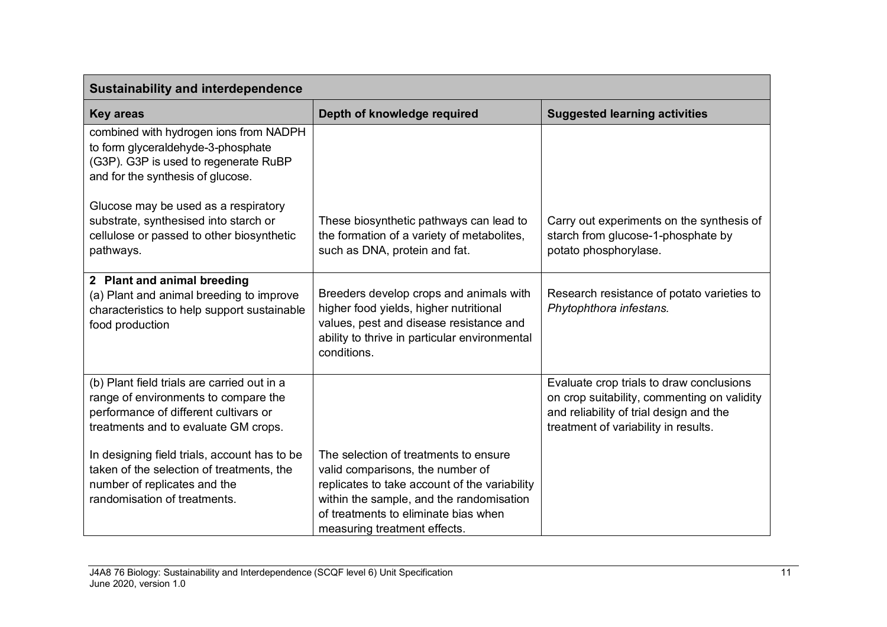| <b>Sustainability and interdependence</b>                                                                                                                            |                                                                                                                                                                                                                                                |                                                                                                                                                                            |
|----------------------------------------------------------------------------------------------------------------------------------------------------------------------|------------------------------------------------------------------------------------------------------------------------------------------------------------------------------------------------------------------------------------------------|----------------------------------------------------------------------------------------------------------------------------------------------------------------------------|
| <b>Key areas</b>                                                                                                                                                     | Depth of knowledge required                                                                                                                                                                                                                    | <b>Suggested learning activities</b>                                                                                                                                       |
| combined with hydrogen ions from NADPH<br>to form glyceraldehyde-3-phosphate<br>(G3P). G3P is used to regenerate RuBP<br>and for the synthesis of glucose.           |                                                                                                                                                                                                                                                |                                                                                                                                                                            |
| Glucose may be used as a respiratory<br>substrate, synthesised into starch or<br>cellulose or passed to other biosynthetic<br>pathways.                              | These biosynthetic pathways can lead to<br>the formation of a variety of metabolites,<br>such as DNA, protein and fat.                                                                                                                         | Carry out experiments on the synthesis of<br>starch from glucose-1-phosphate by<br>potato phosphorylase.                                                                   |
| 2 Plant and animal breeding<br>(a) Plant and animal breeding to improve<br>characteristics to help support sustainable<br>food production                            | Breeders develop crops and animals with<br>higher food yields, higher nutritional<br>values, pest and disease resistance and<br>ability to thrive in particular environmental<br>conditions.                                                   | Research resistance of potato varieties to<br>Phytophthora infestans.                                                                                                      |
| (b) Plant field trials are carried out in a<br>range of environments to compare the<br>performance of different cultivars or<br>treatments and to evaluate GM crops. |                                                                                                                                                                                                                                                | Evaluate crop trials to draw conclusions<br>on crop suitability, commenting on validity<br>and reliability of trial design and the<br>treatment of variability in results. |
| In designing field trials, account has to be<br>taken of the selection of treatments, the<br>number of replicates and the<br>randomisation of treatments.            | The selection of treatments to ensure<br>valid comparisons, the number of<br>replicates to take account of the variability<br>within the sample, and the randomisation<br>of treatments to eliminate bias when<br>measuring treatment effects. |                                                                                                                                                                            |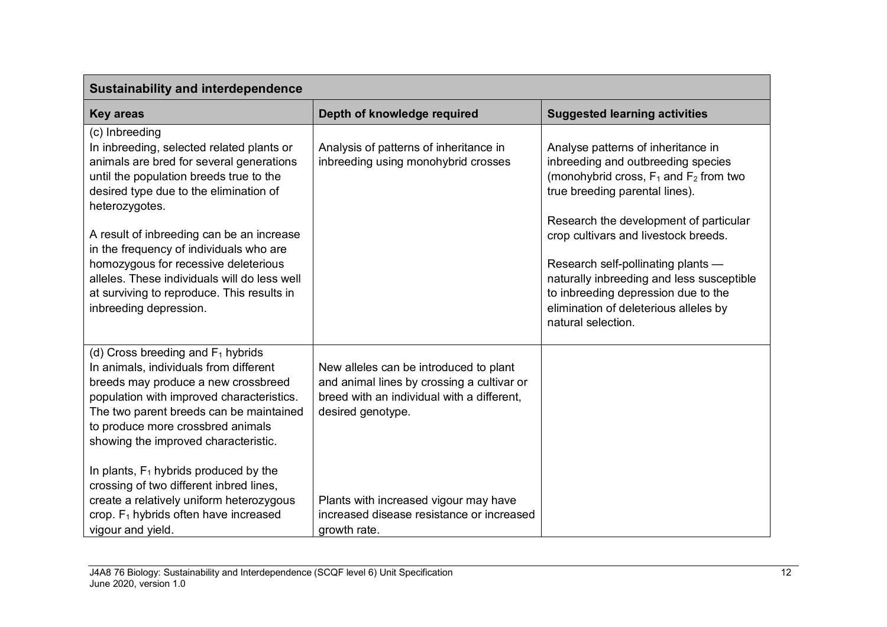| <b>Sustainability and interdependence</b>                                                                                                                                                                                                                                                  |                                                                                                                                                         |                                                                                                                                                                                                                                                                         |
|--------------------------------------------------------------------------------------------------------------------------------------------------------------------------------------------------------------------------------------------------------------------------------------------|---------------------------------------------------------------------------------------------------------------------------------------------------------|-------------------------------------------------------------------------------------------------------------------------------------------------------------------------------------------------------------------------------------------------------------------------|
| <b>Key areas</b>                                                                                                                                                                                                                                                                           | Depth of knowledge required                                                                                                                             | <b>Suggested learning activities</b>                                                                                                                                                                                                                                    |
| (c) Inbreeding<br>In inbreeding, selected related plants or<br>animals are bred for several generations<br>until the population breeds true to the<br>desired type due to the elimination of<br>heterozygotes.                                                                             | Analysis of patterns of inheritance in<br>inbreeding using monohybrid crosses                                                                           | Analyse patterns of inheritance in<br>inbreeding and outbreeding species<br>(monohybrid cross, $F_1$ and $F_2$ from two<br>true breeding parental lines).                                                                                                               |
| A result of inbreeding can be an increase<br>in the frequency of individuals who are<br>homozygous for recessive deleterious<br>alleles. These individuals will do less well<br>at surviving to reproduce. This results in<br>inbreeding depression.                                       |                                                                                                                                                         | Research the development of particular<br>crop cultivars and livestock breeds.<br>Research self-pollinating plants -<br>naturally inbreeding and less susceptible<br>to inbreeding depression due to the<br>elimination of deleterious alleles by<br>natural selection. |
| (d) Cross breeding and $F_1$ hybrids<br>In animals, individuals from different<br>breeds may produce a new crossbreed<br>population with improved characteristics.<br>The two parent breeds can be maintained<br>to produce more crossbred animals<br>showing the improved characteristic. | New alleles can be introduced to plant<br>and animal lines by crossing a cultivar or<br>breed with an individual with a different,<br>desired genotype. |                                                                                                                                                                                                                                                                         |
| In plants, $F_1$ hybrids produced by the<br>crossing of two different inbred lines,<br>create a relatively uniform heterozygous<br>crop. F <sub>1</sub> hybrids often have increased<br>vigour and yield.                                                                                  | Plants with increased vigour may have<br>increased disease resistance or increased<br>growth rate.                                                      |                                                                                                                                                                                                                                                                         |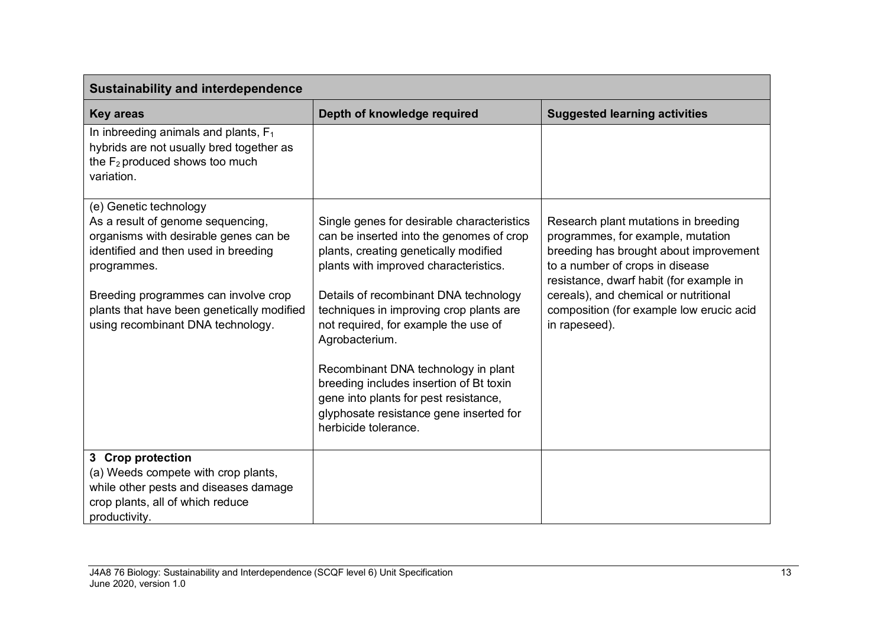| <b>Sustainability and interdependence</b>                                                                                                                                                                                                                                              |                                                                                                                                                                                                                                                                                                                                                                                                                                                                                                                      |                                                                                                                                                                                                                                                                                                         |
|----------------------------------------------------------------------------------------------------------------------------------------------------------------------------------------------------------------------------------------------------------------------------------------|----------------------------------------------------------------------------------------------------------------------------------------------------------------------------------------------------------------------------------------------------------------------------------------------------------------------------------------------------------------------------------------------------------------------------------------------------------------------------------------------------------------------|---------------------------------------------------------------------------------------------------------------------------------------------------------------------------------------------------------------------------------------------------------------------------------------------------------|
| <b>Key areas</b>                                                                                                                                                                                                                                                                       | Depth of knowledge required                                                                                                                                                                                                                                                                                                                                                                                                                                                                                          | <b>Suggested learning activities</b>                                                                                                                                                                                                                                                                    |
| In inbreeding animals and plants, $F_1$<br>hybrids are not usually bred together as<br>the F <sub>2</sub> produced shows too much<br>variation.                                                                                                                                        |                                                                                                                                                                                                                                                                                                                                                                                                                                                                                                                      |                                                                                                                                                                                                                                                                                                         |
| (e) Genetic technology<br>As a result of genome sequencing,<br>organisms with desirable genes can be<br>identified and then used in breeding<br>programmes.<br>Breeding programmes can involve crop<br>plants that have been genetically modified<br>using recombinant DNA technology. | Single genes for desirable characteristics<br>can be inserted into the genomes of crop<br>plants, creating genetically modified<br>plants with improved characteristics.<br>Details of recombinant DNA technology<br>techniques in improving crop plants are<br>not required, for example the use of<br>Agrobacterium.<br>Recombinant DNA technology in plant<br>breeding includes insertion of Bt toxin<br>gene into plants for pest resistance,<br>glyphosate resistance gene inserted for<br>herbicide tolerance. | Research plant mutations in breeding<br>programmes, for example, mutation<br>breeding has brought about improvement<br>to a number of crops in disease<br>resistance, dwarf habit (for example in<br>cereals), and chemical or nutritional<br>composition (for example low erucic acid<br>in rapeseed). |
| 3 Crop protection<br>(a) Weeds compete with crop plants,<br>while other pests and diseases damage<br>crop plants, all of which reduce<br>productivity.                                                                                                                                 |                                                                                                                                                                                                                                                                                                                                                                                                                                                                                                                      |                                                                                                                                                                                                                                                                                                         |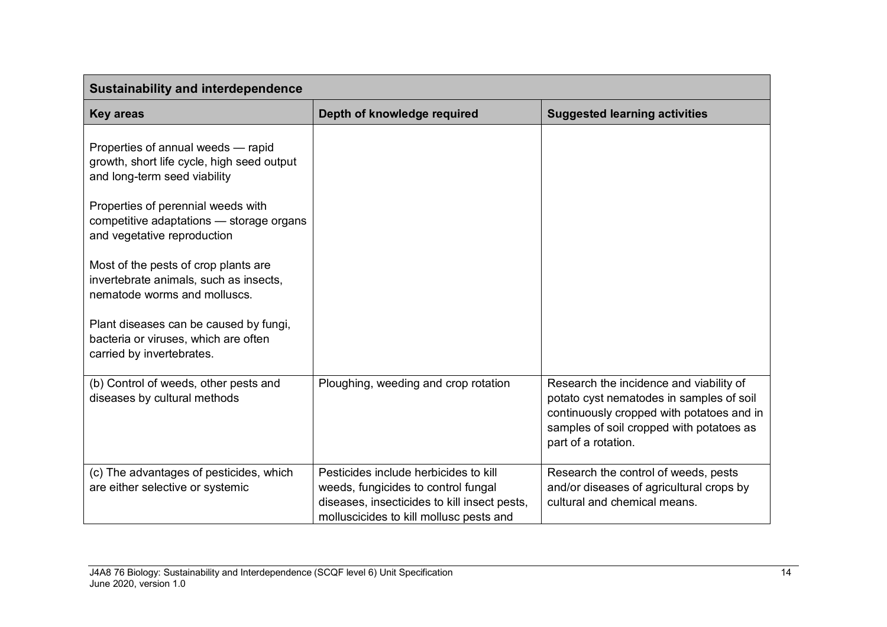| <b>Sustainability and interdependence</b>                                                                        |                                                                                                                                                                         |                                                                                                                                                                                                     |
|------------------------------------------------------------------------------------------------------------------|-------------------------------------------------------------------------------------------------------------------------------------------------------------------------|-----------------------------------------------------------------------------------------------------------------------------------------------------------------------------------------------------|
| <b>Key areas</b>                                                                                                 | Depth of knowledge required                                                                                                                                             | <b>Suggested learning activities</b>                                                                                                                                                                |
| Properties of annual weeds - rapid<br>growth, short life cycle, high seed output<br>and long-term seed viability |                                                                                                                                                                         |                                                                                                                                                                                                     |
| Properties of perennial weeds with<br>competitive adaptations - storage organs<br>and vegetative reproduction    |                                                                                                                                                                         |                                                                                                                                                                                                     |
| Most of the pests of crop plants are<br>invertebrate animals, such as insects,<br>nematode worms and molluscs.   |                                                                                                                                                                         |                                                                                                                                                                                                     |
| Plant diseases can be caused by fungi,<br>bacteria or viruses, which are often<br>carried by invertebrates.      |                                                                                                                                                                         |                                                                                                                                                                                                     |
| (b) Control of weeds, other pests and<br>diseases by cultural methods                                            | Ploughing, weeding and crop rotation                                                                                                                                    | Research the incidence and viability of<br>potato cyst nematodes in samples of soil<br>continuously cropped with potatoes and in<br>samples of soil cropped with potatoes as<br>part of a rotation. |
| (c) The advantages of pesticides, which<br>are either selective or systemic                                      | Pesticides include herbicides to kill<br>weeds, fungicides to control fungal<br>diseases, insecticides to kill insect pests,<br>molluscicides to kill mollusc pests and | Research the control of weeds, pests<br>and/or diseases of agricultural crops by<br>cultural and chemical means.                                                                                    |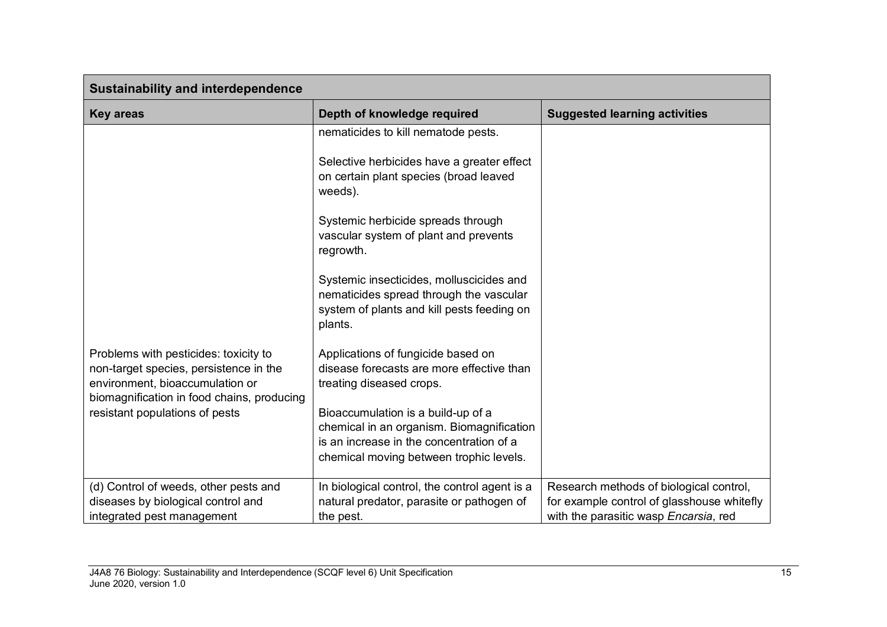| <b>Sustainability and interdependence</b>                                                                                                                        |                                                                                                                                                                        |                                                                                       |
|------------------------------------------------------------------------------------------------------------------------------------------------------------------|------------------------------------------------------------------------------------------------------------------------------------------------------------------------|---------------------------------------------------------------------------------------|
| <b>Key areas</b>                                                                                                                                                 | Depth of knowledge required                                                                                                                                            | <b>Suggested learning activities</b>                                                  |
|                                                                                                                                                                  | nematicides to kill nematode pests.                                                                                                                                    |                                                                                       |
|                                                                                                                                                                  | Selective herbicides have a greater effect<br>on certain plant species (broad leaved<br>weeds).                                                                        |                                                                                       |
|                                                                                                                                                                  | Systemic herbicide spreads through<br>vascular system of plant and prevents<br>regrowth.                                                                               |                                                                                       |
|                                                                                                                                                                  | Systemic insecticides, molluscicides and<br>nematicides spread through the vascular<br>system of plants and kill pests feeding on<br>plants.                           |                                                                                       |
| Problems with pesticides: toxicity to<br>non-target species, persistence in the<br>environment, bioaccumulation or<br>biomagnification in food chains, producing | Applications of fungicide based on<br>disease forecasts are more effective than<br>treating diseased crops.                                                            |                                                                                       |
| resistant populations of pests                                                                                                                                   | Bioaccumulation is a build-up of a<br>chemical in an organism. Biomagnification<br>is an increase in the concentration of a<br>chemical moving between trophic levels. |                                                                                       |
| (d) Control of weeds, other pests and<br>diseases by biological control and                                                                                      | In biological control, the control agent is a<br>natural predator, parasite or pathogen of                                                                             | Research methods of biological control,<br>for example control of glasshouse whitefly |
| integrated pest management                                                                                                                                       | the pest.                                                                                                                                                              | with the parasitic wasp Encarsia, red                                                 |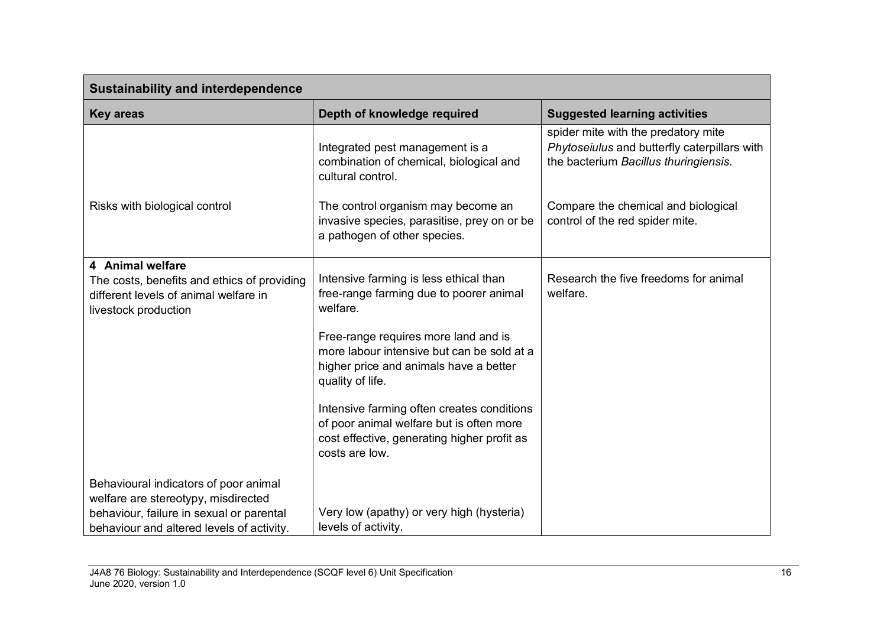| <b>Sustainability and interdependence</b>                                                                                                                             |                                                                                                                                                                                                                                                                                                                                                                                                              |                                                                                                                              |
|-----------------------------------------------------------------------------------------------------------------------------------------------------------------------|--------------------------------------------------------------------------------------------------------------------------------------------------------------------------------------------------------------------------------------------------------------------------------------------------------------------------------------------------------------------------------------------------------------|------------------------------------------------------------------------------------------------------------------------------|
| <b>Key areas</b>                                                                                                                                                      | Depth of knowledge required                                                                                                                                                                                                                                                                                                                                                                                  | <b>Suggested learning activities</b>                                                                                         |
|                                                                                                                                                                       | Integrated pest management is a<br>combination of chemical, biological and<br>cultural control.                                                                                                                                                                                                                                                                                                              | spider mite with the predatory mite<br>Phytoseiulus and butterfly caterpillars with<br>the bacterium Bacillus thuringiensis. |
| Risks with biological control                                                                                                                                         | The control organism may become an<br>invasive species, parasitise, prey on or be<br>a pathogen of other species.                                                                                                                                                                                                                                                                                            | Compare the chemical and biological<br>control of the red spider mite.                                                       |
| 4 Animal welfare<br>The costs, benefits and ethics of providing<br>different levels of animal welfare in<br>livestock production                                      | Intensive farming is less ethical than<br>free-range farming due to poorer animal<br>welfare.<br>Free-range requires more land and is<br>more labour intensive but can be sold at a<br>higher price and animals have a better<br>quality of life.<br>Intensive farming often creates conditions<br>of poor animal welfare but is often more<br>cost effective, generating higher profit as<br>costs are low. | Research the five freedoms for animal<br>welfare.                                                                            |
| Behavioural indicators of poor animal<br>welfare are stereotypy, misdirected<br>behaviour, failure in sexual or parental<br>behaviour and altered levels of activity. | Very low (apathy) or very high (hysteria)<br>levels of activity.                                                                                                                                                                                                                                                                                                                                             |                                                                                                                              |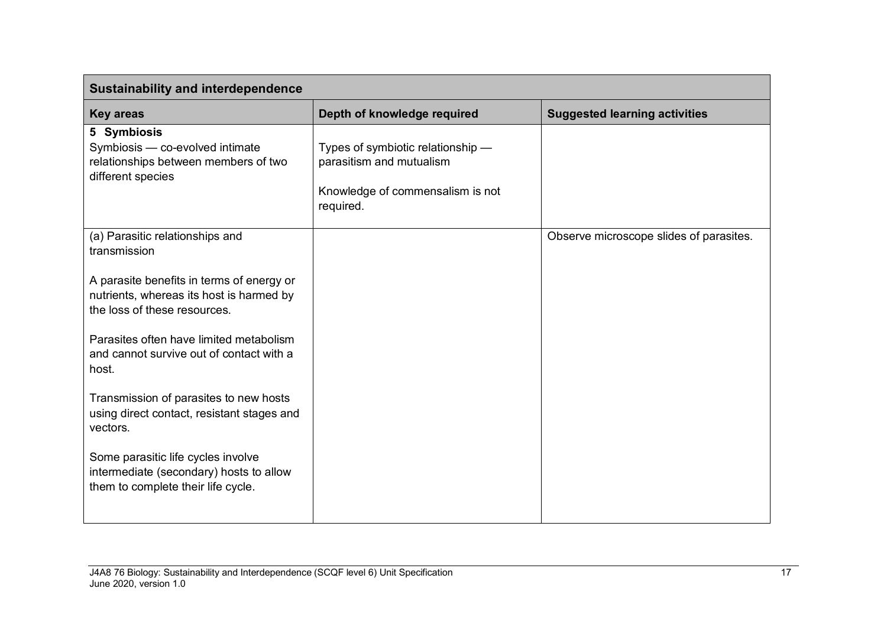| <b>Sustainability and interdependence</b>                                                                             |                                                                                                                |                                         |
|-----------------------------------------------------------------------------------------------------------------------|----------------------------------------------------------------------------------------------------------------|-----------------------------------------|
| <b>Key areas</b>                                                                                                      | Depth of knowledge required                                                                                    | <b>Suggested learning activities</b>    |
| 5 Symbiosis<br>Symbiosis - co-evolved intimate<br>relationships between members of two<br>different species           | Types of symbiotic relationship -<br>parasitism and mutualism<br>Knowledge of commensalism is not<br>required. |                                         |
| (a) Parasitic relationships and<br>transmission                                                                       |                                                                                                                | Observe microscope slides of parasites. |
| A parasite benefits in terms of energy or<br>nutrients, whereas its host is harmed by<br>the loss of these resources. |                                                                                                                |                                         |
| Parasites often have limited metabolism<br>and cannot survive out of contact with a<br>host.                          |                                                                                                                |                                         |
| Transmission of parasites to new hosts<br>using direct contact, resistant stages and<br>vectors.                      |                                                                                                                |                                         |
| Some parasitic life cycles involve<br>intermediate (secondary) hosts to allow<br>them to complete their life cycle.   |                                                                                                                |                                         |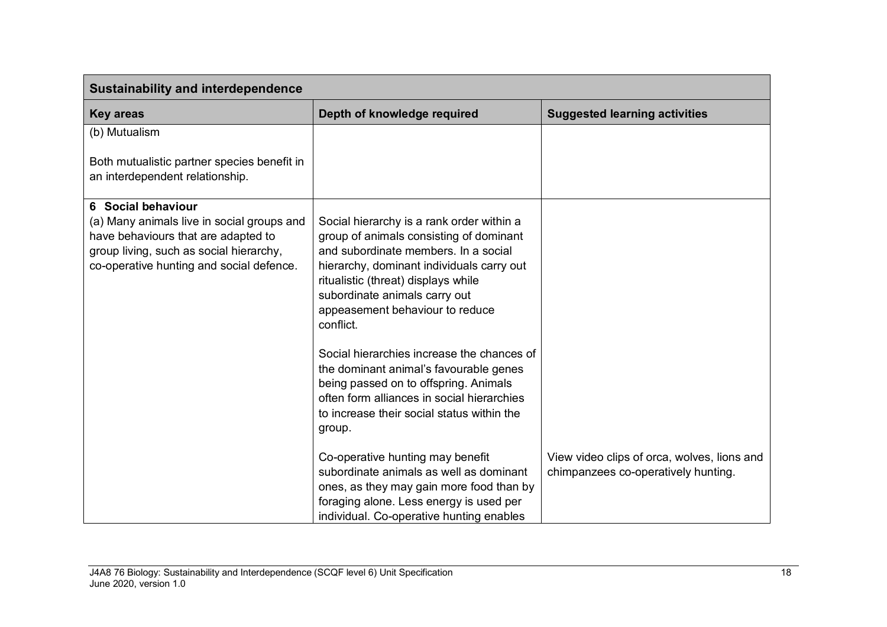| <b>Sustainability and interdependence</b>                                                                                                                                                      |                                                                                                                                                                                                                                                                                                                                                                                                                                                                                                                                          |                                                                                    |
|------------------------------------------------------------------------------------------------------------------------------------------------------------------------------------------------|------------------------------------------------------------------------------------------------------------------------------------------------------------------------------------------------------------------------------------------------------------------------------------------------------------------------------------------------------------------------------------------------------------------------------------------------------------------------------------------------------------------------------------------|------------------------------------------------------------------------------------|
| <b>Key areas</b>                                                                                                                                                                               | Depth of knowledge required                                                                                                                                                                                                                                                                                                                                                                                                                                                                                                              | <b>Suggested learning activities</b>                                               |
| (b) Mutualism                                                                                                                                                                                  |                                                                                                                                                                                                                                                                                                                                                                                                                                                                                                                                          |                                                                                    |
| Both mutualistic partner species benefit in<br>an interdependent relationship.                                                                                                                 |                                                                                                                                                                                                                                                                                                                                                                                                                                                                                                                                          |                                                                                    |
| 6 Social behaviour<br>(a) Many animals live in social groups and<br>have behaviours that are adapted to<br>group living, such as social hierarchy,<br>co-operative hunting and social defence. | Social hierarchy is a rank order within a<br>group of animals consisting of dominant<br>and subordinate members. In a social<br>hierarchy, dominant individuals carry out<br>ritualistic (threat) displays while<br>subordinate animals carry out<br>appeasement behaviour to reduce<br>conflict.<br>Social hierarchies increase the chances of<br>the dominant animal's favourable genes<br>being passed on to offspring. Animals<br>often form alliances in social hierarchies<br>to increase their social status within the<br>group. |                                                                                    |
|                                                                                                                                                                                                | Co-operative hunting may benefit<br>subordinate animals as well as dominant<br>ones, as they may gain more food than by<br>foraging alone. Less energy is used per<br>individual. Co-operative hunting enables                                                                                                                                                                                                                                                                                                                           | View video clips of orca, wolves, lions and<br>chimpanzees co-operatively hunting. |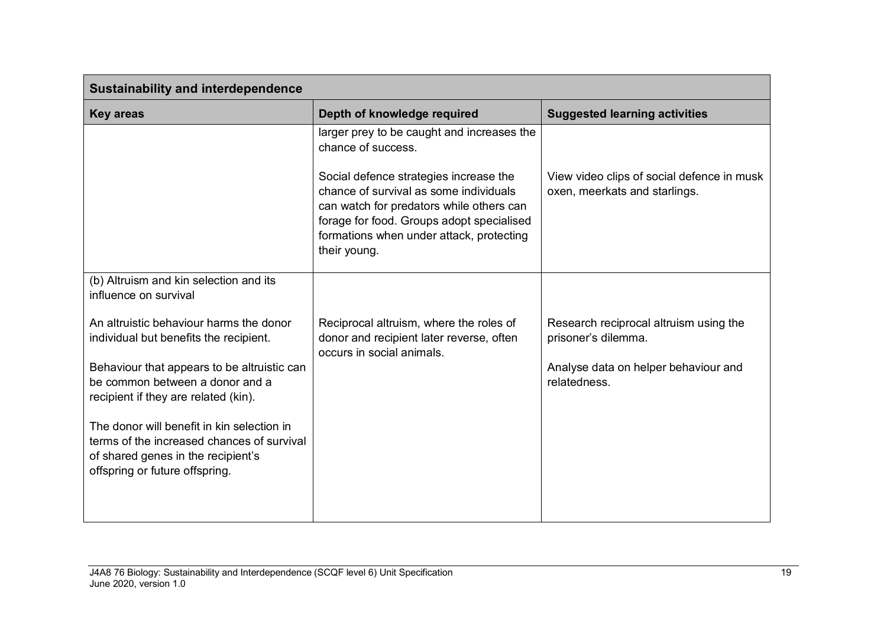| <b>Sustainability and interdependence</b>                                                                                                                                                                   |                                                                                                                                                                                                                                                                                                           |                                                                                                                       |  |
|-------------------------------------------------------------------------------------------------------------------------------------------------------------------------------------------------------------|-----------------------------------------------------------------------------------------------------------------------------------------------------------------------------------------------------------------------------------------------------------------------------------------------------------|-----------------------------------------------------------------------------------------------------------------------|--|
| <b>Key areas</b>                                                                                                                                                                                            | Depth of knowledge required                                                                                                                                                                                                                                                                               | <b>Suggested learning activities</b>                                                                                  |  |
|                                                                                                                                                                                                             | larger prey to be caught and increases the<br>chance of success.<br>Social defence strategies increase the<br>chance of survival as some individuals<br>can watch for predators while others can<br>forage for food. Groups adopt specialised<br>formations when under attack, protecting<br>their young. | View video clips of social defence in musk<br>oxen, meerkats and starlings.                                           |  |
| (b) Altruism and kin selection and its<br>influence on survival                                                                                                                                             |                                                                                                                                                                                                                                                                                                           |                                                                                                                       |  |
| An altruistic behaviour harms the donor<br>individual but benefits the recipient.<br>Behaviour that appears to be altruistic can<br>be common between a donor and a<br>recipient if they are related (kin). | Reciprocal altruism, where the roles of<br>donor and recipient later reverse, often<br>occurs in social animals.                                                                                                                                                                                          | Research reciprocal altruism using the<br>prisoner's dilemma.<br>Analyse data on helper behaviour and<br>relatedness. |  |
| The donor will benefit in kin selection in<br>terms of the increased chances of survival<br>of shared genes in the recipient's<br>offspring or future offspring.                                            |                                                                                                                                                                                                                                                                                                           |                                                                                                                       |  |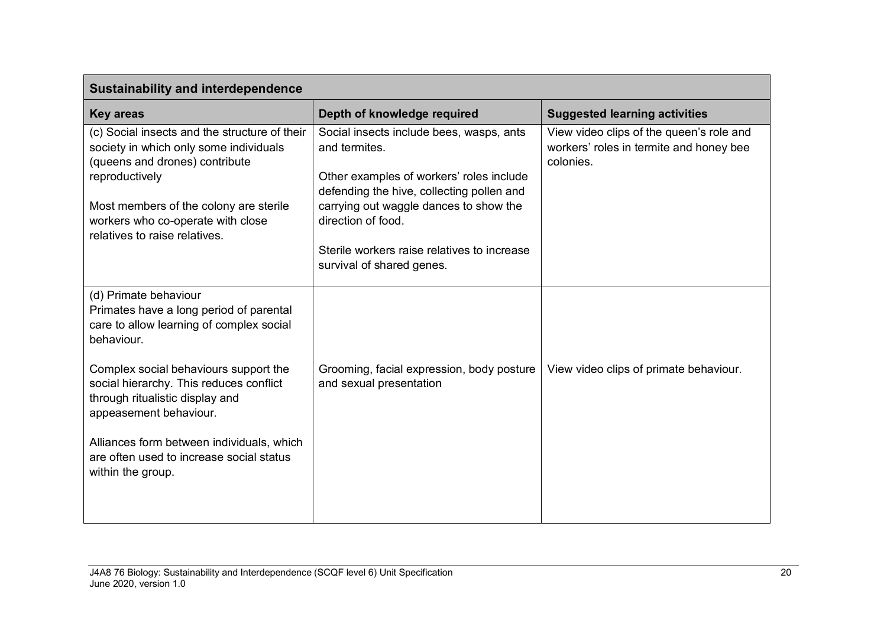| <b>Sustainability and interdependence</b>                                                                                                                                                                                  |                                                                                                                                                                                                                    |                                                                                                  |  |
|----------------------------------------------------------------------------------------------------------------------------------------------------------------------------------------------------------------------------|--------------------------------------------------------------------------------------------------------------------------------------------------------------------------------------------------------------------|--------------------------------------------------------------------------------------------------|--|
| <b>Key areas</b>                                                                                                                                                                                                           | Depth of knowledge required                                                                                                                                                                                        | <b>Suggested learning activities</b>                                                             |  |
| (c) Social insects and the structure of their<br>society in which only some individuals<br>(queens and drones) contribute<br>reproductively<br>Most members of the colony are sterile<br>workers who co-operate with close | Social insects include bees, wasps, ants<br>and termites.<br>Other examples of workers' roles include<br>defending the hive, collecting pollen and<br>carrying out waggle dances to show the<br>direction of food. | View video clips of the queen's role and<br>workers' roles in termite and honey bee<br>colonies. |  |
| relatives to raise relatives.                                                                                                                                                                                              | Sterile workers raise relatives to increase<br>survival of shared genes.                                                                                                                                           |                                                                                                  |  |
| (d) Primate behaviour<br>Primates have a long period of parental<br>care to allow learning of complex social<br>behaviour.                                                                                                 |                                                                                                                                                                                                                    |                                                                                                  |  |
| Complex social behaviours support the<br>social hierarchy. This reduces conflict<br>through ritualistic display and<br>appeasement behaviour.                                                                              | Grooming, facial expression, body posture<br>and sexual presentation                                                                                                                                               | View video clips of primate behaviour.                                                           |  |
| Alliances form between individuals, which<br>are often used to increase social status<br>within the group.                                                                                                                 |                                                                                                                                                                                                                    |                                                                                                  |  |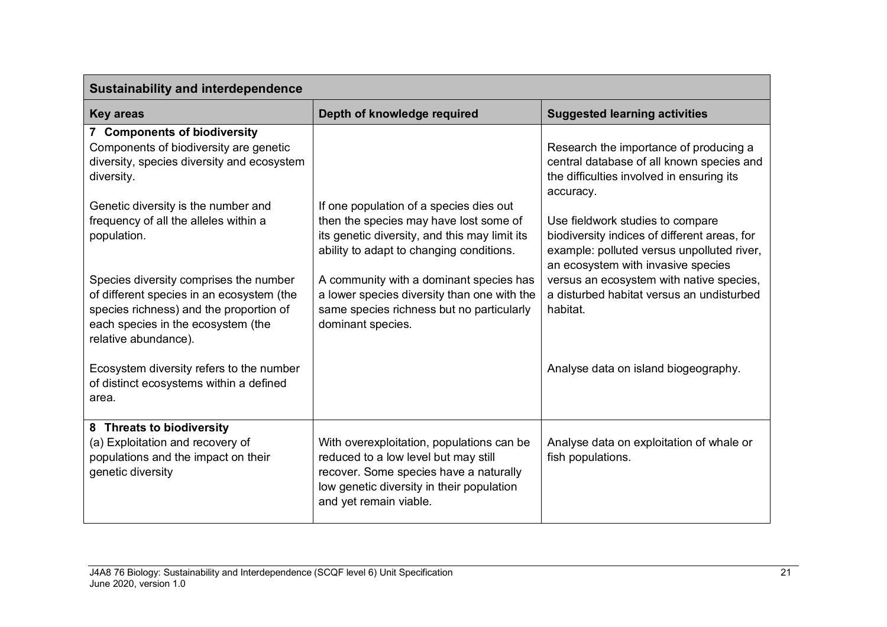| <b>Sustainability and interdependence</b>                                                                                                                                                    |                                                                                                                                                                                                    |                                                                                                                                                                      |  |
|----------------------------------------------------------------------------------------------------------------------------------------------------------------------------------------------|----------------------------------------------------------------------------------------------------------------------------------------------------------------------------------------------------|----------------------------------------------------------------------------------------------------------------------------------------------------------------------|--|
| <b>Key areas</b>                                                                                                                                                                             | Depth of knowledge required                                                                                                                                                                        | <b>Suggested learning activities</b>                                                                                                                                 |  |
| 7 Components of biodiversity<br>Components of biodiversity are genetic<br>diversity, species diversity and ecosystem<br>diversity.                                                           |                                                                                                                                                                                                    | Research the importance of producing a<br>central database of all known species and<br>the difficulties involved in ensuring its<br>accuracy.                        |  |
| Genetic diversity is the number and<br>frequency of all the alleles within a<br>population.                                                                                                  | If one population of a species dies out<br>then the species may have lost some of<br>its genetic diversity, and this may limit its<br>ability to adapt to changing conditions.                     | Use fieldwork studies to compare<br>biodiversity indices of different areas, for<br>example: polluted versus unpolluted river,<br>an ecosystem with invasive species |  |
| Species diversity comprises the number<br>of different species in an ecosystem (the<br>species richness) and the proportion of<br>each species in the ecosystem (the<br>relative abundance). | A community with a dominant species has<br>a lower species diversity than one with the<br>same species richness but no particularly<br>dominant species.                                           | versus an ecosystem with native species,<br>a disturbed habitat versus an undisturbed<br>habitat.                                                                    |  |
| Ecosystem diversity refers to the number<br>of distinct ecosystems within a defined<br>area.                                                                                                 |                                                                                                                                                                                                    | Analyse data on island biogeography.                                                                                                                                 |  |
| 8 Threats to biodiversity<br>(a) Exploitation and recovery of<br>populations and the impact on their<br>genetic diversity                                                                    | With overexploitation, populations can be<br>reduced to a low level but may still<br>recover. Some species have a naturally<br>low genetic diversity in their population<br>and yet remain viable. | Analyse data on exploitation of whale or<br>fish populations.                                                                                                        |  |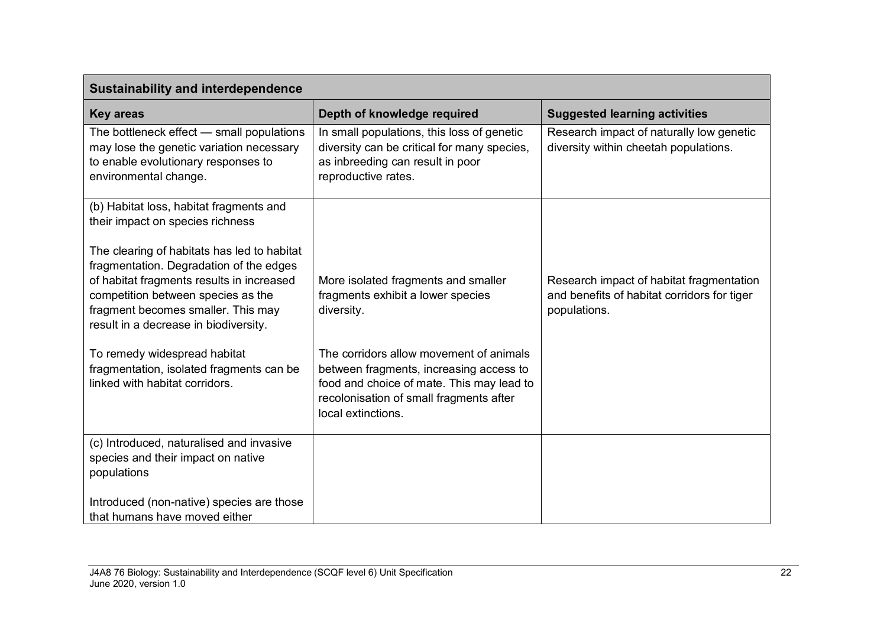| <b>Sustainability and interdependence</b>                                                                                                                                                                                                                |                                                                                                                                                                                                  |                                                                                                         |  |
|----------------------------------------------------------------------------------------------------------------------------------------------------------------------------------------------------------------------------------------------------------|--------------------------------------------------------------------------------------------------------------------------------------------------------------------------------------------------|---------------------------------------------------------------------------------------------------------|--|
| <b>Key areas</b>                                                                                                                                                                                                                                         | Depth of knowledge required                                                                                                                                                                      | <b>Suggested learning activities</b>                                                                    |  |
| The bottleneck effect - small populations<br>may lose the genetic variation necessary<br>to enable evolutionary responses to<br>environmental change.                                                                                                    | In small populations, this loss of genetic<br>diversity can be critical for many species,<br>as inbreeding can result in poor<br>reproductive rates.                                             | Research impact of naturally low genetic<br>diversity within cheetah populations.                       |  |
| (b) Habitat loss, habitat fragments and<br>their impact on species richness                                                                                                                                                                              |                                                                                                                                                                                                  |                                                                                                         |  |
| The clearing of habitats has led to habitat<br>fragmentation. Degradation of the edges<br>of habitat fragments results in increased<br>competition between species as the<br>fragment becomes smaller. This may<br>result in a decrease in biodiversity. | More isolated fragments and smaller<br>fragments exhibit a lower species<br>diversity.                                                                                                           | Research impact of habitat fragmentation<br>and benefits of habitat corridors for tiger<br>populations. |  |
| To remedy widespread habitat<br>fragmentation, isolated fragments can be<br>linked with habitat corridors.                                                                                                                                               | The corridors allow movement of animals<br>between fragments, increasing access to<br>food and choice of mate. This may lead to<br>recolonisation of small fragments after<br>local extinctions. |                                                                                                         |  |
| (c) Introduced, naturalised and invasive<br>species and their impact on native<br>populations                                                                                                                                                            |                                                                                                                                                                                                  |                                                                                                         |  |
| Introduced (non-native) species are those<br>that humans have moved either                                                                                                                                                                               |                                                                                                                                                                                                  |                                                                                                         |  |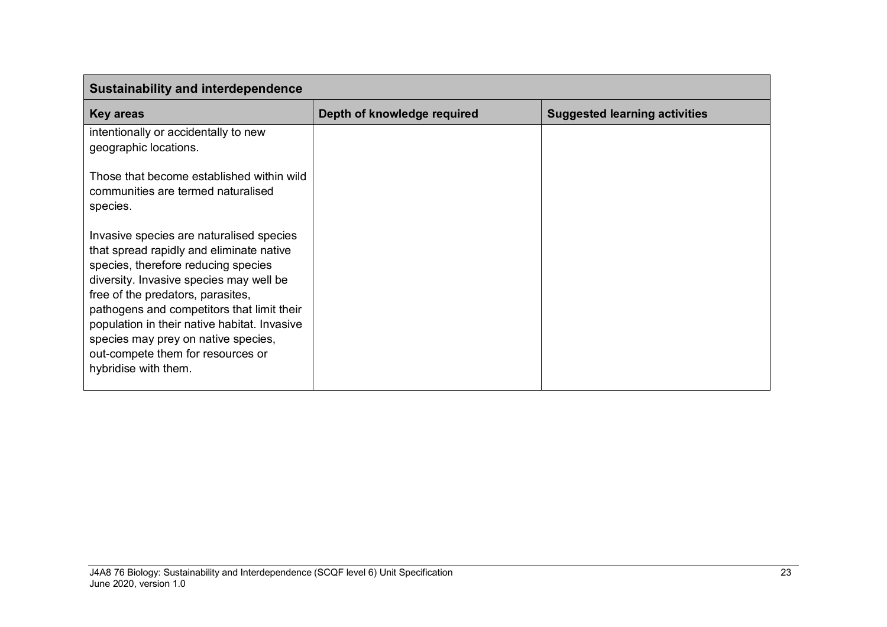| <b>Sustainability and interdependence</b>                                                                                                                                                                                                                                                                                                                                                                     |                             |                                      |  |
|---------------------------------------------------------------------------------------------------------------------------------------------------------------------------------------------------------------------------------------------------------------------------------------------------------------------------------------------------------------------------------------------------------------|-----------------------------|--------------------------------------|--|
| <b>Key areas</b>                                                                                                                                                                                                                                                                                                                                                                                              | Depth of knowledge required | <b>Suggested learning activities</b> |  |
| intentionally or accidentally to new<br>geographic locations.                                                                                                                                                                                                                                                                                                                                                 |                             |                                      |  |
| Those that become established within wild<br>communities are termed naturalised<br>species.                                                                                                                                                                                                                                                                                                                   |                             |                                      |  |
| Invasive species are naturalised species<br>that spread rapidly and eliminate native<br>species, therefore reducing species<br>diversity. Invasive species may well be<br>free of the predators, parasites,<br>pathogens and competitors that limit their<br>population in their native habitat. Invasive<br>species may prey on native species,<br>out-compete them for resources or<br>hybridise with them. |                             |                                      |  |